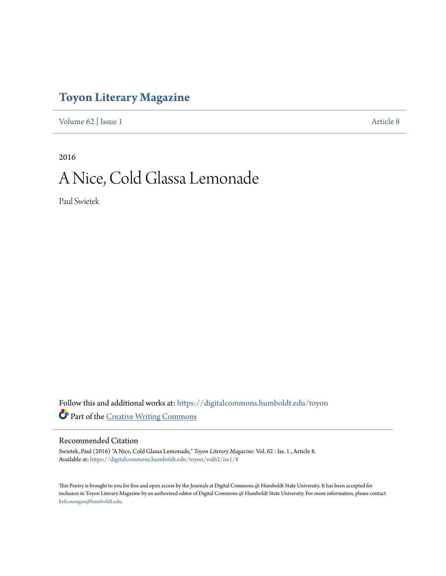## **[Toyon Literary Magazine](https://digitalcommons.humboldt.edu/toyon?utm_source=digitalcommons.humboldt.edu%2Ftoyon%2Fvol62%2Fiss1%2F8&utm_medium=PDF&utm_campaign=PDFCoverPages)**

[Volume 62](https://digitalcommons.humboldt.edu/toyon/vol62?utm_source=digitalcommons.humboldt.edu%2Ftoyon%2Fvol62%2Fiss1%2F8&utm_medium=PDF&utm_campaign=PDFCoverPages) | [Issue 1](https://digitalcommons.humboldt.edu/toyon/vol62/iss1?utm_source=digitalcommons.humboldt.edu%2Ftoyon%2Fvol62%2Fiss1%2F8&utm_medium=PDF&utm_campaign=PDFCoverPages) [Article 8](https://digitalcommons.humboldt.edu/toyon/vol62/iss1/8?utm_source=digitalcommons.humboldt.edu%2Ftoyon%2Fvol62%2Fiss1%2F8&utm_medium=PDF&utm_campaign=PDFCoverPages)

2016

## A Nice, Cold Glassa Lemonade

Paul Swietek

Follow this and additional works at: [https://digitalcommons.humboldt.edu/toyon](https://digitalcommons.humboldt.edu/toyon?utm_source=digitalcommons.humboldt.edu%2Ftoyon%2Fvol62%2Fiss1%2F8&utm_medium=PDF&utm_campaign=PDFCoverPages) Part of the [Creative Writing Commons](http://network.bepress.com/hgg/discipline/574?utm_source=digitalcommons.humboldt.edu%2Ftoyon%2Fvol62%2Fiss1%2F8&utm_medium=PDF&utm_campaign=PDFCoverPages)

## Recommended Citation

Swietek, Paul (2016) "A Nice, Cold Glassa Lemonade," *Toyon Literary Magazine*: Vol. 62 : Iss. 1 , Article 8. Available at: [https://digitalcommons.humboldt.edu/toyon/vol62/iss1/8](https://digitalcommons.humboldt.edu/toyon/vol62/iss1/8?utm_source=digitalcommons.humboldt.edu%2Ftoyon%2Fvol62%2Fiss1%2F8&utm_medium=PDF&utm_campaign=PDFCoverPages)

This Poetry is brought to you for free and open access by the Journals at Digital Commons @ Humboldt State University. It has been accepted for inclusion in Toyon Literary Magazine by an authorized editor of Digital Commons @ Humboldt State University. For more information, please contact [kyle.morgan@humboldt.edu](mailto:kyle.morgan@humboldt.edu).